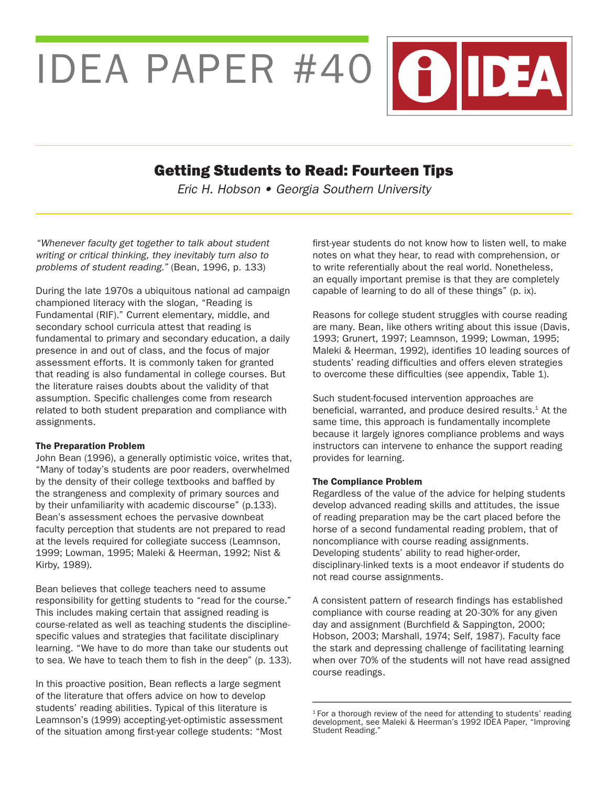IDEA PAPER #40 (?) DEA

# Getting Students to Read: Fourteen Tips

*Eric H. Hobson* • *Georgia Southern University*

*"Whenever faculty get together to talk about student writing or critical thinking, they inevitably turn also to problems of student reading."* (Bean, 1996, p. 133)

During the late 1970s a ubiquitous national ad campaign championed literacy with the slogan, "Reading is Fundamental (RIF)." Current elementary, middle, and secondary school curricula attest that reading is fundamental to primary and secondary education, a daily presence in and out of class, and the focus of major assessment efforts. It is commonly taken for granted that reading is also fundamental in college courses. But the literature raises doubts about the validity of that assumption. Specific challenges come from research related to both student preparation and compliance with assignments.

#### The Preparation Problem

John Bean (1996), a generally optimistic voice, writes that, "Many of today's students are poor readers, overwhelmed by the density of their college textbooks and baffled by the strangeness and complexity of primary sources and by their unfamiliarity with academic discourse" (p.133). Bean's assessment echoes the pervasive downbeat faculty perception that students are not prepared to read at the levels required for collegiate success (Leamnson, 1999; Lowman, 1995; Maleki & Heerman, 1992; Nist & Kirby, 1989).

Bean believes that college teachers need to assume responsibility for getting students to "read for the course." This includes making certain that assigned reading is course-related as well as teaching students the disciplinespecific values and strategies that facilitate disciplinary learning. "We have to do more than take our students out to sea. We have to teach them to fish in the deep" (p. 133).

In this proactive position, Bean reflects a large segment of the literature that offers advice on how to develop students' reading abilities. Typical of this literature is Leamnson's (1999) accepting-yet-optimistic assessment of the situation among first-year college students: "Most

first-year students do not know how to listen well, to make notes on what they hear, to read with comprehension, or to write referentially about the real world. Nonetheless, an equally important premise is that they are completely capable of learning to do all of these things" (p. ix).

Reasons for college student struggles with course reading are many. Bean, like others writing about this issue (Davis, 1993; Grunert, 1997; Leamnson, 1999; Lowman, 1995; Maleki & Heerman, 1992), identifies 10 leading sources of students' reading difficulties and offers eleven strategies to overcome these difficulties (see appendix, Table 1).

Such student-focused intervention approaches are beneficial, warranted, and produce desired results.<sup>1</sup> At the same time, this approach is fundamentally incomplete because it largely ignores compliance problems and ways instructors can intervene to enhance the support reading provides for learning.

### The Compliance Problem

Regardless of the value of the advice for helping students develop advanced reading skills and attitudes, the issue of reading preparation may be the cart placed before the horse of a second fundamental reading problem, that of noncompliance with course reading assignments. Developing students' ability to read higher-order, disciplinary-linked texts is a moot endeavor if students do not read course assignments.

A consistent pattern of research findings has established compliance with course reading at 20-30% for any given day and assignment (Burchfield & Sappington, 2000; Hobson, 2003; Marshall, 1974; Self, 1987). Faculty face the stark and depressing challenge of facilitating learning when over 70% of the students will not have read assigned course readings.

<sup>&</sup>lt;sup>1</sup> For a thorough review of the need for attending to students' reading development, see Maleki & Heerman's 1992 IDEA Paper, "Improving Student Reading."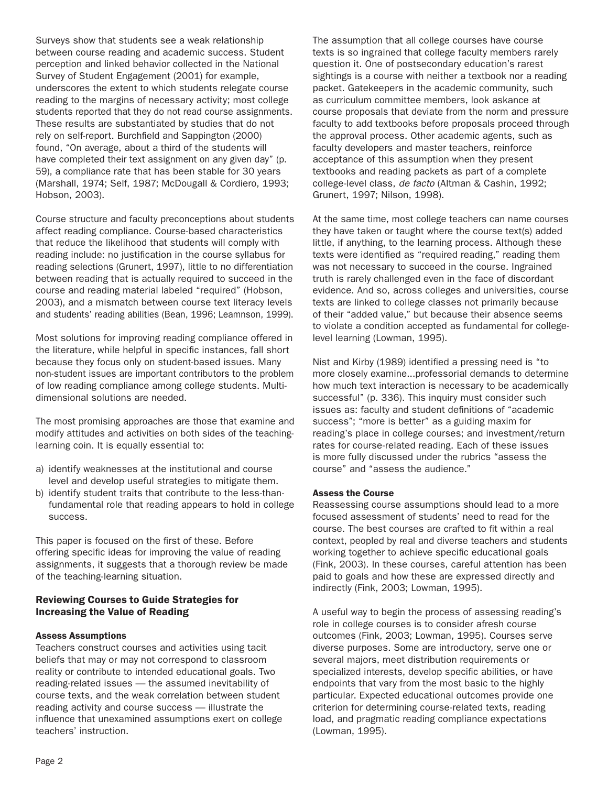Surveys show that students see a weak relationship between course reading and academic success. Student perception and linked behavior collected in the National Survey of Student Engagement (2001) for example, underscores the extent to which students relegate course reading to the margins of necessary activity; most college students reported that they do not read course assignments. These results are substantiated by studies that do not rely on self-report. Burchfield and Sappington (2000) found, "On average, about a third of the students will have completed their text assignment on any given day" (p. 59), a compliance rate that has been stable for 30 years (Marshall, 1974; Self, 1987; McDougall & Cordiero, 1993; Hobson, 2003).

Course structure and faculty preconceptions about students affect reading compliance. Course-based characteristics that reduce the likelihood that students will comply with reading include: no justification in the course syllabus for reading selections (Grunert, 1997), little to no differentiation between reading that is actually required to succeed in the course and reading material labeled "required" (Hobson, 2003), and a mismatch between course text literacy levels and students' reading abilities (Bean, 1996; Leamnson, 1999).

Most solutions for improving reading compliance offered in the literature, while helpful in specific instances, fall short because they focus only on student-based issues. Many non-student issues are important contributors to the problem of low reading compliance among college students. Multidimensional solutions are needed.

The most promising approaches are those that examine and modify attitudes and activities on both sides of the teachinglearning coin. It is equally essential to:

- a) identify weaknesses at the institutional and course level and develop useful strategies to mitigate them.
- b) identify student traits that contribute to the less-thanfundamental role that reading appears to hold in college success.

This paper is focused on the first of these. Before offering specific ideas for improving the value of reading assignments, it suggests that a thorough review be made of the teaching-learning situation.

### Reviewing Courses to Guide Strategies for Increasing the Value of Reading

### Assess Assumptions

Teachers construct courses and activities using tacit beliefs that may or may not correspond to classroom reality or contribute to intended educational goals. Two reading-related issues — the assumed inevitability of course texts, and the weak correlation between student reading activity and course success — illustrate the influence that unexamined assumptions exert on college teachers' instruction.

The assumption that all college courses have course texts is so ingrained that college faculty members rarely question it. One of postsecondary education's rarest sightings is a course with neither a textbook nor a reading packet. Gatekeepers in the academic community, such as curriculum committee members, look askance at course proposals that deviate from the norm and pressure faculty to add textbooks before proposals proceed through the approval process. Other academic agents, such as faculty developers and master teachers, reinforce acceptance of this assumption when they present textbooks and reading packets as part of a complete college-level class, *de facto* (Altman & Cashin, 1992; Grunert, 1997; Nilson, 1998).

At the same time, most college teachers can name courses they have taken or taught where the course text(s) added little, if anything, to the learning process. Although these texts were identified as "required reading," reading them was not necessary to succeed in the course. Ingrained truth is rarely challenged even in the face of discordant evidence. And so, across colleges and universities, course texts are linked to college classes not primarily because of their "added value," but because their absence seems to violate a condition accepted as fundamental for collegelevel learning (Lowman, 1995).

Nist and Kirby (1989) identified a pressing need is "to more closely examine...professorial demands to determine how much text interaction is necessary to be academically successful" (p. 336). This inquiry must consider such issues as: faculty and student definitions of "academic success"; "more is better" as a guiding maxim for reading's place in college courses; and investment/return rates for course-related reading. Each of these issues is more fully discussed under the rubrics "assess the course" and "assess the audience."

### Assess the Course

Reassessing course assumptions should lead to a more focused assessment of students' need to read for the course. The best courses are crafted to fit within a real context, peopled by real and diverse teachers and students working together to achieve specific educational goals (Fink, 2003). In these courses, careful attention has been paid to goals and how these are expressed directly and indirectly (Fink, 2003; Lowman, 1995).

A useful way to begin the process of assessing reading's role in college courses is to consider afresh course outcomes (Fink, 2003; Lowman, 1995). Courses serve diverse purposes. Some are introductory, serve one or several majors, meet distribution requirements or specialized interests, develop specific abilities, or have endpoints that vary from the most basic to the highly particular. Expected educational outcomes provide one criterion for determining course-related texts, reading load, and pragmatic reading compliance expectations (Lowman, 1995).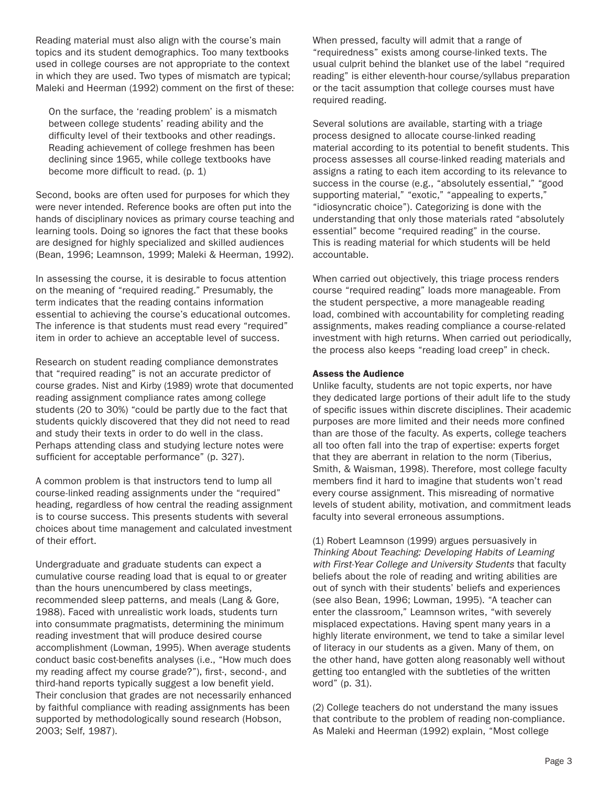Reading material must also align with the course's main topics and its student demographics. Too many textbooks used in college courses are not appropriate to the context in which they are used. Two types of mismatch are typical; Maleki and Heerman (1992) comment on the first of these:

On the surface, the 'reading problem' is a mismatch between college students' reading ability and the difficulty level of their textbooks and other readings. Reading achievement of college freshmen has been declining since 1965, while college textbooks have become more difficult to read. (p. 1)

Second, books are often used for purposes for which they were never intended. Reference books are often put into the hands of disciplinary novices as primary course teaching and learning tools. Doing so ignores the fact that these books are designed for highly specialized and skilled audiences (Bean, 1996; Leamnson, 1999; Maleki & Heerman, 1992).

In assessing the course, it is desirable to focus attention on the meaning of "required reading." Presumably, the term indicates that the reading contains information essential to achieving the course's educational outcomes. The inference is that students must read every "required" item in order to achieve an acceptable level of success.

Research on student reading compliance demonstrates that "required reading" is not an accurate predictor of course grades. Nist and Kirby (1989) wrote that documented reading assignment compliance rates among college students (20 to 30%) "could be partly due to the fact that students quickly discovered that they did not need to read and study their texts in order to do well in the class. Perhaps attending class and studying lecture notes were sufficient for acceptable performance" (p. 327).

A common problem is that instructors tend to lump all course-linked reading assignments under the "required" heading, regardless of how central the reading assignment is to course success. This presents students with several choices about time management and calculated investment of their effort.

Undergraduate and graduate students can expect a cumulative course reading load that is equal to or greater than the hours unencumbered by class meetings, recommended sleep patterns, and meals (Lang & Gore, 1988). Faced with unrealistic work loads, students turn into consummate pragmatists, determining the minimum reading investment that will produce desired course accomplishment (Lowman, 1995). When average students conduct basic cost-benefits analyses (i.e., "How much does my reading affect my course grade?"), first-, second-, and third-hand reports typically suggest a low benefit yield. Their conclusion that grades are not necessarily enhanced by faithful compliance with reading assignments has been supported by methodologically sound research (Hobson, 2003; Self, 1987).

When pressed, faculty will admit that a range of "requiredness" exists among course-linked texts. The usual culprit behind the blanket use of the label "required reading" is either eleventh-hour course/syllabus preparation or the tacit assumption that college courses must have required reading.

Several solutions are available, starting with a triage process designed to allocate course-linked reading material according to its potential to benefit students. This process assesses all course-linked reading materials and assigns a rating to each item according to its relevance to success in the course (e.g., "absolutely essential," "good supporting material," "exotic," "appealing to experts," "idiosyncratic choice"). Categorizing is done with the understanding that only those materials rated "absolutely essential" become "required reading" in the course. This is reading material for which students will be held accountable.

When carried out objectively, this triage process renders course "required reading" loads more manageable. From the student perspective, a more manageable reading load, combined with accountability for completing reading assignments, makes reading compliance a course-related investment with high returns. When carried out periodically, the process also keeps "reading load creep" in check.

### Assess the Audience

Unlike faculty, students are not topic experts, nor have they dedicated large portions of their adult life to the study of specific issues within discrete disciplines. Their academic purposes are more limited and their needs more confined than are those of the faculty. As experts, college teachers all too often fall into the trap of expertise: experts forget that they are aberrant in relation to the norm (Tiberius, Smith, & Waisman, 1998). Therefore, most college faculty members find it hard to imagine that students won't read every course assignment. This misreading of normative levels of student ability, motivation, and commitment leads faculty into several erroneous assumptions.

(1) Robert Leamnson (1999) argues persuasively in *Thinking About Teaching: Developing Habits of Learning with First-Year College and University Students* that faculty beliefs about the role of reading and writing abilities are out of synch with their students' beliefs and experiences (see also Bean, 1996; Lowman, 1995). "A teacher can enter the classroom," Leamnson writes, "with severely misplaced expectations. Having spent many years in a highly literate environment, we tend to take a similar level of literacy in our students as a given. Many of them, on the other hand, have gotten along reasonably well without getting too entangled with the subtleties of the written word" (p. 31).

(2) College teachers do not understand the many issues that contribute to the problem of reading non-compliance. As Maleki and Heerman (1992) explain, "Most college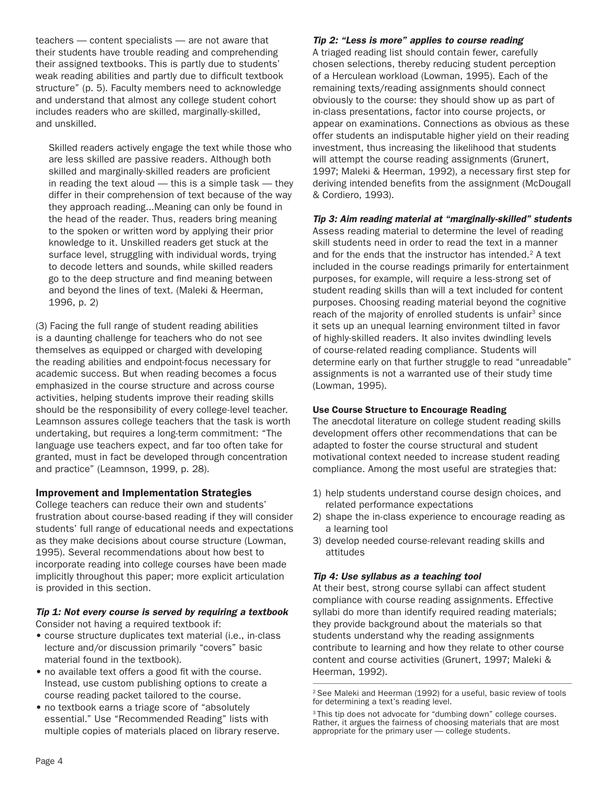teachers — content specialists — are not aware that their students have trouble reading and comprehending their assigned textbooks. This is partly due to students' weak reading abilities and partly due to difficult textbook structure" (p. 5). Faculty members need to acknowledge and understand that almost any college student cohort includes readers who are skilled, marginally-skilled, and unskilled.

Skilled readers actively engage the text while those who are less skilled are passive readers. Although both skilled and marginally-skilled readers are proficient in reading the text aloud — this is a simple task — they differ in their comprehension of text because of the way they approach reading...Meaning can only be found in the head of the reader. Thus, readers bring meaning to the spoken or written word by applying their prior knowledge to it. Unskilled readers get stuck at the surface level, struggling with individual words, trying to decode letters and sounds, while skilled readers go to the deep structure and find meaning between and beyond the lines of text. (Maleki & Heerman, 1996, p. 2)

(3) Facing the full range of student reading abilities is a daunting challenge for teachers who do not see themselves as equipped or charged with developing the reading abilities and endpoint-focus necessary for academic success. But when reading becomes a focus emphasized in the course structure and across course activities, helping students improve their reading skills should be the responsibility of every college-level teacher. Leamnson assures college teachers that the task is worth undertaking, but requires a long-term commitment: "The language use teachers expect, and far too often take for granted, must in fact be developed through concentration and practice" (Leamnson, 1999, p. 28).

### Improvement and Implementation Strategies

College teachers can reduce their own and students' frustration about course-based reading if they will consider students' full range of educational needs and expectations as they make decisions about course structure (Lowman, 1995). Several recommendations about how best to incorporate reading into college courses have been made implicitly throughout this paper; more explicit articulation is provided in this section.

#### *Tip 1: Not every course is served by requiring a textbook* Consider not having a required textbook if:

- course structure duplicates text material (i.e., in-class lecture and/or discussion primarily "covers" basic material found in the textbook).
- no available text offers a good fit with the course. Instead, use custom publishing options to create a course reading packet tailored to the course.
- no textbook earns a triage score of "absolutely essential." Use "Recommended Reading" lists with multiple copies of materials placed on library reserve.

### *Tip 2: "Less is more" applies to course reading*

A triaged reading list should contain fewer, carefully chosen selections, thereby reducing student perception of a Herculean workload (Lowman, 1995). Each of the remaining texts/reading assignments should connect obviously to the course: they should show up as part of in-class presentations, factor into course projects, or appear on examinations. Connections as obvious as these offer students an indisputable higher yield on their reading investment, thus increasing the likelihood that students will attempt the course reading assignments (Grunert, 1997; Maleki & Heerman, 1992), a necessary first step for deriving intended benefits from the assignment (McDougall & Cordiero, 1993).

*Tip 3: Aim reading material at "marginally-skilled" students* Assess reading material to determine the level of reading skill students need in order to read the text in a manner and for the ends that the instructor has intended. $2$  A text included in the course readings primarily for entertainment purposes, for example, will require a less-strong set of student reading skills than will a text included for content purposes. Choosing reading material beyond the cognitive reach of the majority of enrolled students is unfair<sup>3</sup> since it sets up an unequal learning environment tilted in favor of highly-skilled readers. It also invites dwindling levels of course-related reading compliance. Students will determine early on that further struggle to read "unreadable" assignments is not a warranted use of their study time (Lowman, 1995).

### Use Course Structure to Encourage Reading

The anecdotal literature on college student reading skills development offers other recommendations that can be adapted to foster the course structural and student motivational context needed to increase student reading compliance. Among the most useful are strategies that:

- 1) help students understand course design choices, and related performance expectations
- 2) shape the in-class experience to encourage reading as a learning tool
- 3) develop needed course-relevant reading skills and attitudes

### *Tip 4: Use syllabus as a teaching tool*

At their best, strong course syllabi can affect student compliance with course reading assignments. Effective syllabi do more than identify required reading materials; they provide background about the materials so that students understand why the reading assignments contribute to learning and how they relate to other course content and course activities (Grunert, 1997; Maleki & Heerman, 1992).

<sup>2</sup> See Maleki and Heerman (1992) for a useful, basic review of tools for determining a text's reading level.

<sup>&</sup>lt;sup>3</sup> This tip does not advocate for "dumbing down" college courses. Rather, it argues the fairness of choosing materials that are most appropriate for the primary user — college students.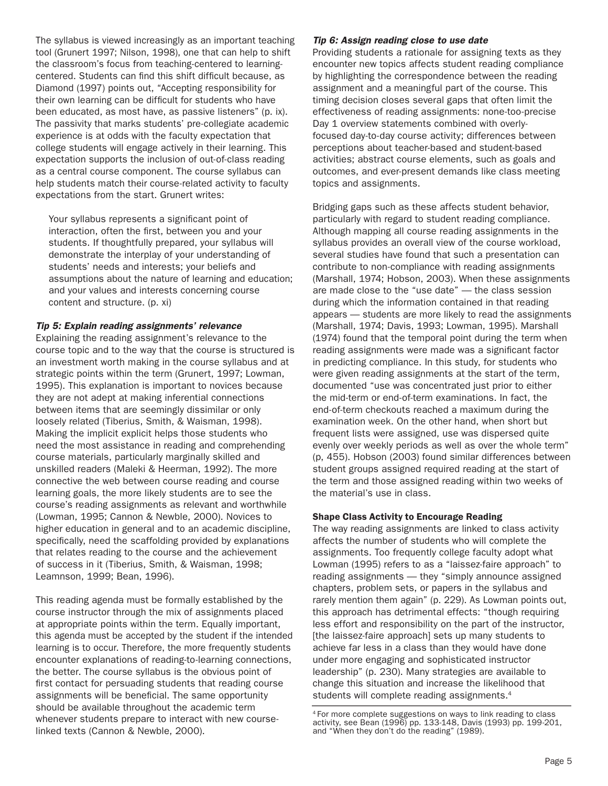The syllabus is viewed increasingly as an important teaching tool (Grunert 1997; Nilson, 1998), one that can help to shift the classroom's focus from teaching-centered to learningcentered. Students can find this shift difficult because, as Diamond (1997) points out, "Accepting responsibility for their own learning can be difficult for students who have been educated, as most have, as passive listeners" (p. ix). The passivity that marks students' pre-collegiate academic experience is at odds with the faculty expectation that college students will engage actively in their learning. This expectation supports the inclusion of out-of-class reading as a central course component. The course syllabus can help students match their course-related activity to faculty expectations from the start. Grunert writes:

Your syllabus represents a significant point of interaction, often the first, between you and your students. If thoughtfully prepared, your syllabus will demonstrate the interplay of your understanding of students' needs and interests; your beliefs and assumptions about the nature of learning and education; and your values and interests concerning course content and structure. (p. xi)

#### *Tip 5: Explain reading assignments' relevance*

Explaining the reading assignment's relevance to the course topic and to the way that the course is structured is an investment worth making in the course syllabus and at strategic points within the term (Grunert, 1997; Lowman, 1995). This explanation is important to novices because they are not adept at making inferential connections between items that are seemingly dissimilar or only loosely related (Tiberius, Smith, & Waisman, 1998). Making the implicit explicit helps those students who need the most assistance in reading and comprehending course materials, particularly marginally skilled and unskilled readers (Maleki & Heerman, 1992). The more connective the web between course reading and course learning goals, the more likely students are to see the course's reading assignments as relevant and worthwhile (Lowman, 1995; Cannon & Newble, 2000). Novices to higher education in general and to an academic discipline, specifically, need the scaffolding provided by explanations that relates reading to the course and the achievement of success in it (Tiberius, Smith, & Waisman, 1998; Leamnson, 1999; Bean, 1996).

This reading agenda must be formally established by the course instructor through the mix of assignments placed at appropriate points within the term. Equally important, this agenda must be accepted by the student if the intended learning is to occur. Therefore, the more frequently students encounter explanations of reading-to-learning connections, the better. The course syllabus is the obvious point of first contact for persuading students that reading course assignments will be beneficial. The same opportunity should be available throughout the academic term whenever students prepare to interact with new courselinked texts (Cannon & Newble, 2000).

#### *Tip 6: Assign reading close to use date*

Providing students a rationale for assigning texts as they encounter new topics affects student reading compliance by highlighting the correspondence between the reading assignment and a meaningful part of the course. This timing decision closes several gaps that often limit the effectiveness of reading assignments: none-too-precise Day 1 overview statements combined with overlyfocused day-to-day course activity; differences between perceptions about teacher-based and student-based activities; abstract course elements, such as goals and outcomes, and ever-present demands like class meeting topics and assignments.

Bridging gaps such as these affects student behavior, particularly with regard to student reading compliance. Although mapping all course reading assignments in the syllabus provides an overall view of the course workload, several studies have found that such a presentation can contribute to non-compliance with reading assignments (Marshall, 1974; Hobson, 2003). When these assignments are made close to the "use date" — the class session during which the information contained in that reading appears — students are more likely to read the assignments (Marshall, 1974; Davis, 1993; Lowman, 1995). Marshall (1974) found that the temporal point during the term when reading assignments were made was a significant factor in predicting compliance. In this study, for students who were given reading assignments at the start of the term, documented "use was concentrated just prior to either the mid-term or end-of-term examinations. In fact, the end-of-term checkouts reached a maximum during the examination week. On the other hand, when short but frequent lists were assigned, use was dispersed quite evenly over weekly periods as well as over the whole term" (p, 455). Hobson (2003) found similar differences between student groups assigned required reading at the start of the term and those assigned reading within two weeks of the material's use in class.

#### Shape Class Activity to Encourage Reading

The way reading assignments are linked to class activity affects the number of students who will complete the assignments. Too frequently college faculty adopt what Lowman (1995) refers to as a "laissez-faire approach" to reading assignments — they "simply announce assigned chapters, problem sets, or papers in the syllabus and rarely mention them again" (p. 229). As Lowman points out, this approach has detrimental effects: "though requiring less effort and responsibility on the part of the instructor, [the laissez-faire approach] sets up many students to achieve far less in a class than they would have done under more engaging and sophisticated instructor leadership" (p. 230). Many strategies are available to change this situation and increase the likelihood that students will complete reading assignments.4

<sup>4</sup> For more complete suggestions on ways to link reading to class activity, see Bean (1996) pp. 133-148, Davis (1993) pp. 199-201, and "When they don't do the reading" (1989).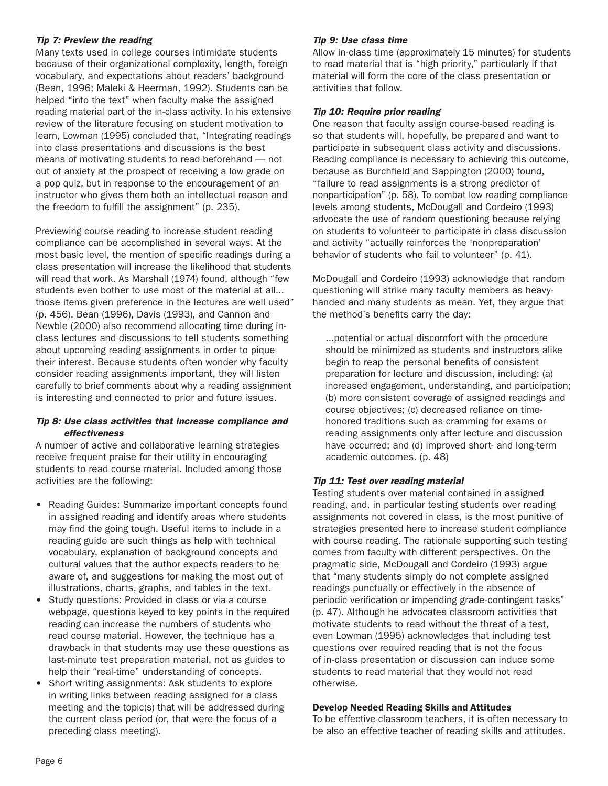### *Tip 7: Preview the reading*

Many texts used in college courses intimidate students because of their organizational complexity, length, foreign vocabulary, and expectations about readers' background (Bean, 1996; Maleki & Heerman, 1992). Students can be helped "into the text" when faculty make the assigned reading material part of the in-class activity. In his extensive review of the literature focusing on student motivation to learn, Lowman (1995) concluded that, "Integrating readings into class presentations and discussions is the best means of motivating students to read beforehand — not out of anxiety at the prospect of receiving a low grade on a pop quiz, but in response to the encouragement of an instructor who gives them both an intellectual reason and the freedom to fulfill the assignment" (p. 235).

Previewing course reading to increase student reading compliance can be accomplished in several ways. At the most basic level, the mention of specific readings during a class presentation will increase the likelihood that students will read that work. As Marshall (1974) found, although "few students even bother to use most of the material at all... those items given preference in the lectures are well used" (p. 456). Bean (1996), Davis (1993), and Cannon and Newble (2000) also recommend allocating time during inclass lectures and discussions to tell students something about upcoming reading assignments in order to pique their interest. Because students often wonder why faculty consider reading assignments important, they will listen carefully to brief comments about why a reading assignment is interesting and connected to prior and future issues.

### *Tip 8: Use class activities that increase compliance and effectiveness*

A number of active and collaborative learning strategies receive frequent praise for their utility in encouraging students to read course material. Included among those activities are the following:

- Reading Guides: Summarize important concepts found in assigned reading and identify areas where students may find the going tough. Useful items to include in a reading guide are such things as help with technical vocabulary, explanation of background concepts and cultural values that the author expects readers to be aware of, and suggestions for making the most out of illustrations, charts, graphs, and tables in the text.
- Study questions: Provided in class or via a course webpage, questions keyed to key points in the required reading can increase the numbers of students who read course material. However, the technique has a drawback in that students may use these questions as last-minute test preparation material, not as guides to help their "real-time" understanding of concepts.
- Short writing assignments: Ask students to explore in writing links between reading assigned for a class meeting and the topic(s) that will be addressed during the current class period (or, that were the focus of a preceding class meeting).

### *Tip 9: Use class time*

Allow in-class time (approximately 15 minutes) for students to read material that is "high priority," particularly if that material will form the core of the class presentation or activities that follow.

### *Tip 10: Require prior reading*

One reason that faculty assign course-based reading is so that students will, hopefully, be prepared and want to participate in subsequent class activity and discussions. Reading compliance is necessary to achieving this outcome, because as Burchfield and Sappington (2000) found, "failure to read assignments is a strong predictor of nonparticipation" (p. 58). To combat low reading compliance levels among students, McDougall and Cordeiro (1993) advocate the use of random questioning because relying on students to volunteer to participate in class discussion and activity "actually reinforces the 'nonpreparation' behavior of students who fail to volunteer" (p. 41).

McDougall and Cordeiro (1993) acknowledge that random questioning will strike many faculty members as heavyhanded and many students as mean. Yet, they argue that the method's benefits carry the day:

...potential or actual discomfort with the procedure should be minimized as students and instructors alike begin to reap the personal benefits of consistent preparation for lecture and discussion, including: (a) increased engagement, understanding, and participation; (b) more consistent coverage of assigned readings and course objectives; (c) decreased reliance on timehonored traditions such as cramming for exams or reading assignments only after lecture and discussion have occurred; and (d) improved short- and long-term academic outcomes. (p. 48)

### *Tip 11: Test over reading material*

Testing students over material contained in assigned reading, and, in particular testing students over reading assignments not covered in class, is the most punitive of strategies presented here to increase student compliance with course reading. The rationale supporting such testing comes from faculty with different perspectives. On the pragmatic side, McDougall and Cordeiro (1993) argue that "many students simply do not complete assigned readings punctually or effectively in the absence of periodic verification or impending grade-contingent tasks" (p. 47). Although he advocates classroom activities that motivate students to read without the threat of a test, even Lowman (1995) acknowledges that including test questions over required reading that is not the focus of in-class presentation or discussion can induce some students to read material that they would not read otherwise.

### Develop Needed Reading Skills and Attitudes

To be effective classroom teachers, it is often necessary to be also an effective teacher of reading skills and attitudes.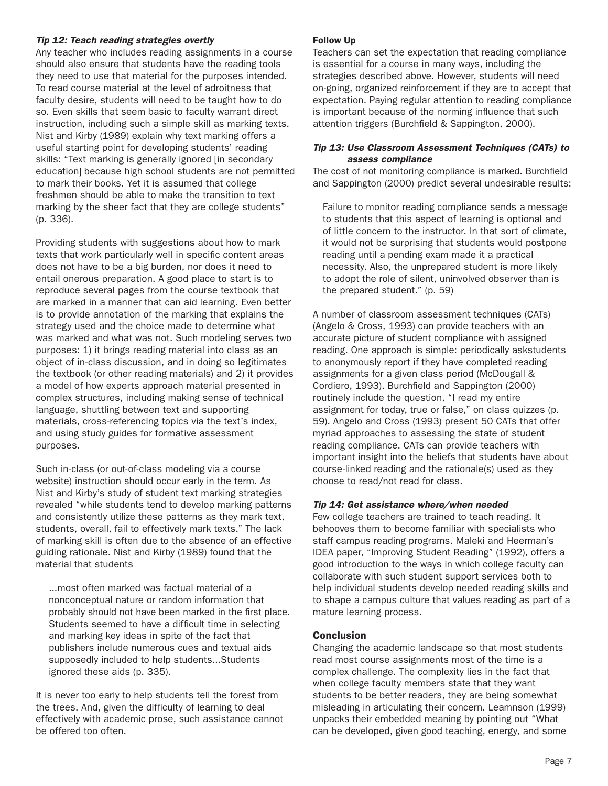### *Tip 12: Teach reading strategies overtly*

Any teacher who includes reading assignments in a course should also ensure that students have the reading tools they need to use that material for the purposes intended. To read course material at the level of adroitness that faculty desire, students will need to be taught how to do so. Even skills that seem basic to faculty warrant direct instruction, including such a simple skill as marking texts. Nist and Kirby (1989) explain why text marking offers a useful starting point for developing students' reading skills: "Text marking is generally ignored [in secondary education] because high school students are not permitted to mark their books. Yet it is assumed that college freshmen should be able to make the transition to text marking by the sheer fact that they are college students" (p. 336).

Providing students with suggestions about how to mark texts that work particularly well in specific content areas does not have to be a big burden, nor does it need to entail onerous preparation. A good place to start is to reproduce several pages from the course textbook that are marked in a manner that can aid learning. Even better is to provide annotation of the marking that explains the strategy used and the choice made to determine what was marked and what was not. Such modeling serves two purposes: 1) it brings reading material into class as an object of in-class discussion, and in doing so legitimates the textbook (or other reading materials) and 2) it provides a model of how experts approach material presented in complex structures, including making sense of technical language, shuttling between text and supporting materials, cross-referencing topics via the text's index, and using study guides for formative assessment purposes.

Such in-class (or out-of-class modeling via a course website) instruction should occur early in the term. As Nist and Kirby's study of student text marking strategies revealed "while students tend to develop marking patterns and consistently utilize these patterns as they mark text, students, overall, fail to effectively mark texts." The lack of marking skill is often due to the absence of an effective guiding rationale. Nist and Kirby (1989) found that the material that students

...most often marked was factual material of a nonconceptual nature or random information that probably should not have been marked in the first place. Students seemed to have a difficult time in selecting and marking key ideas in spite of the fact that publishers include numerous cues and textual aids supposedly included to help students...Students ignored these aids (p. 335).

It is never too early to help students tell the forest from the trees. And, given the difficulty of learning to deal effectively with academic prose, such assistance cannot be offered too often.

### Follow Up

Teachers can set the expectation that reading compliance is essential for a course in many ways, including the strategies described above. However, students will need on-going, organized reinforcement if they are to accept that expectation. Paying regular attention to reading compliance is important because of the norming influence that such attention triggers (Burchfield & Sappington, 2000).

### *Tip 13: Use Classroom Assessment Techniques (CATs) to assess compliance*

The cost of not monitoring compliance is marked. Burchfield and Sappington (2000) predict several undesirable results:

Failure to monitor reading compliance sends a message to students that this aspect of learning is optional and of little concern to the instructor. In that sort of climate, it would not be surprising that students would postpone reading until a pending exam made it a practical necessity. Also, the unprepared student is more likely to adopt the role of silent, uninvolved observer than is the prepared student." (p. 59)

A number of classroom assessment techniques (CATs) (Angelo & Cross, 1993) can provide teachers with an accurate picture of student compliance with assigned reading. One approach is simple: periodically askstudents to anonymously report if they have completed reading assignments for a given class period (McDougall & Cordiero, 1993). Burchfield and Sappington (2000) routinely include the question, "I read my entire assignment for today, true or false," on class quizzes (p. 59). Angelo and Cross (1993) present 50 CATs that offer myriad approaches to assessing the state of student reading compliance. CATs can provide teachers with important insight into the beliefs that students have about course-linked reading and the rationale(s) used as they choose to read/not read for class.

### *Tip 14: Get assistance where/when needed*

Few college teachers are trained to teach reading. It behooves them to become familiar with specialists who staff campus reading programs. Maleki and Heerman's IDEA paper, "Improving Student Reading" (1992), offers a good introduction to the ways in which college faculty can collaborate with such student support services both to help individual students develop needed reading skills and to shape a campus culture that values reading as part of a mature learning process.

### **Conclusion**

Changing the academic landscape so that most students read most course assignments most of the time is a complex challenge. The complexity lies in the fact that when college faculty members state that they want students to be better readers, they are being somewhat misleading in articulating their concern. Leamnson (1999) unpacks their embedded meaning by pointing out "What can be developed, given good teaching, energy, and some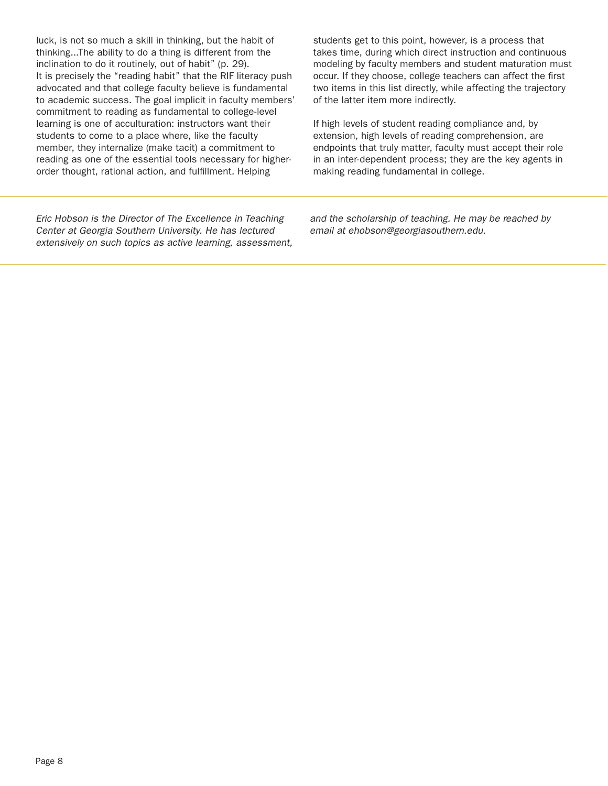luck, is not so much a skill in thinking, but the habit of thinking...The ability to do a thing is different from the inclination to do it routinely, out of habit" (p. 29). It is precisely the "reading habit" that the RIF literacy push advocated and that college faculty believe is fundamental to academic success. The goal implicit in faculty members' commitment to reading as fundamental to college-level learning is one of acculturation: instructors want their students to come to a place where, like the faculty member, they internalize (make tacit) a commitment to reading as one of the essential tools necessary for higherorder thought, rational action, and fulfillment. Helping

students get to this point, however, is a process that takes time, during which direct instruction and continuous modeling by faculty members and student maturation must occur. If they choose, college teachers can affect the first two items in this list directly, while affecting the trajectory of the latter item more indirectly.

If high levels of student reading compliance and, by extension, high levels of reading comprehension, are endpoints that truly matter, faculty must accept their role in an inter-dependent process; they are the key agents in making reading fundamental in college.

*Eric Hobson is the Director of The Excellence in Teaching Center at Georgia Southern University. He has lectured extensively on such topics as active learning, assessment,*  *and the scholarship of teaching. He may be reached by email at ehobson@georgiasouthern.edu.*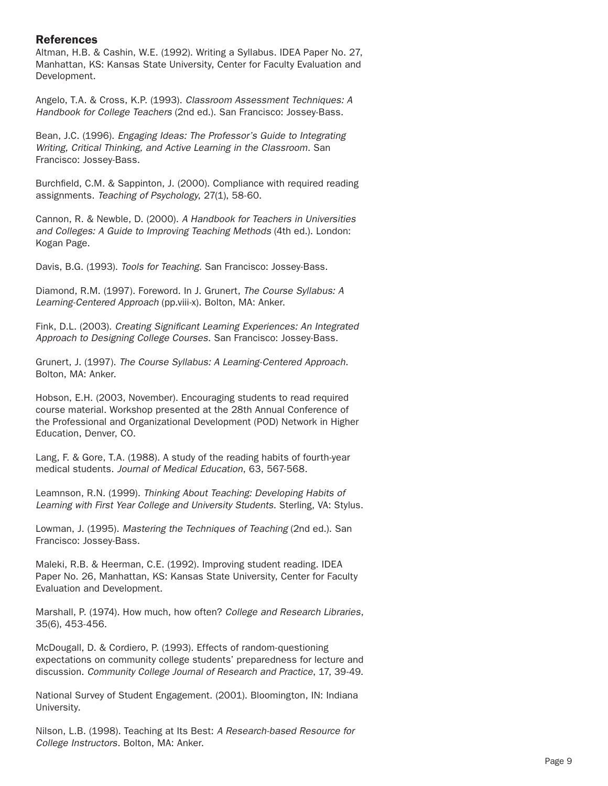### References

Altman, H.B. & Cashin, W.E. (1992). Writing a Syllabus. IDEA Paper No. 27, Manhattan, KS: Kansas State University, Center for Faculty Evaluation and Development.

Angelo, T.A. & Cross, K.P. (1993). *Classroom Assessment Techniques: A Handbook for College Teachers* (2nd ed.). San Francisco: Jossey-Bass.

Bean, J.C. (1996). *Engaging Ideas: The Professor's Guide to Integrating Writing, Critical Thinking, and Active Learning in the Classroom*. San Francisco: Jossey-Bass.

Burchfield, C.M. & Sappinton, J. (2000). Compliance with required reading assignments. *Teaching of Psychology*, 27(1), 58-60.

Cannon, R. & Newble, D. (2000). *A Handbook for Teachers in Universities and Colleges: A Guide to Improving Teaching Methods* (4th ed.). London: Kogan Page.

Davis, B.G. (1993). *Tools for Teaching*. San Francisco: Jossey-Bass.

Diamond, R.M. (1997). Foreword. In J. Grunert, *The Course Syllabus: A Learning-Centered Approach* (pp.viii-x). Bolton, MA: Anker.

Fink, D.L. (2003). *Creating Significant Learning Experiences: An Integrated Approach to Designing College Courses*. San Francisco: Jossey-Bass.

Grunert, J. (1997). *The Course Syllabus: A Learning-Centered Approach*. Bolton, MA: Anker.

Hobson, E.H. (2003, November). Encouraging students to read required course material. Workshop presented at the 28th Annual Conference of the Professional and Organizational Development (POD) Network in Higher Education, Denver, CO.

Lang, F. & Gore, T.A. (1988). A study of the reading habits of fourth-year medical students. *Journal of Medical Education*, 63, 567-568.

Leamnson, R.N. (1999). *Thinking About Teaching: Developing Habits of Learning with First Year College and University Students*. Sterling, VA: Stylus.

Lowman, J. (1995). *Mastering the Techniques of Teaching* (2nd ed.). San Francisco: Jossey-Bass.

Maleki, R.B. & Heerman, C.E. (1992). Improving student reading. IDEA Paper No. 26, Manhattan, KS: Kansas State University, Center for Faculty Evaluation and Development.

Marshall, P. (1974). How much, how often? *College and Research Libraries*, 35(6), 453-456.

McDougall, D. & Cordiero, P. (1993). Effects of random-questioning expectations on community college students' preparedness for lecture and discussion. *Community College Journal of Research and Practice*, 17, 39-49.

National Survey of Student Engagement. (2001). Bloomington, IN: Indiana University.

Nilson, L.B. (1998). Teaching at Its Best: *A Research-based Resource for College Instructors*. Bolton, MA: Anker.